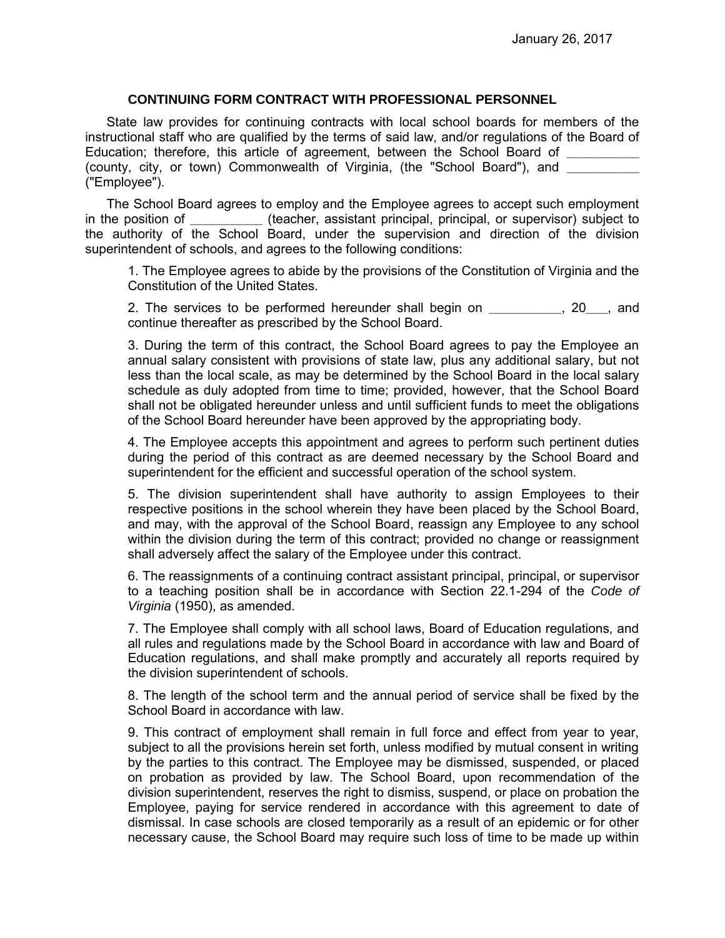## **CONTINUING FORM CONTRACT WITH PROFESSIONAL PERSONNEL**

State law provides for continuing contracts with local school boards for members of the instructional staff who are qualified by the terms of said law, and/or regulations of the Board of Education; therefore, this article of agreement, between the School Board of **\_\_\_\_\_\_\_\_\_\_**  (county, city, or town) Commonwealth of Virginia, (the "School Board"), and ("Employee").

The School Board agrees to employ and the Employee agrees to accept such employment in the position of **\_\_\_\_\_\_\_\_\_\_** (teacher, assistant principal, principal, or supervisor) subject to the authority of the School Board, under the supervision and direction of the division superintendent of schools, and agrees to the following conditions:

1. The Employee agrees to abide by the provisions of the Constitution of Virginia and the Constitution of the United States.

2. The services to be performed hereunder shall begin on **\_\_\_\_\_\_\_\_\_\_**, 20**\_\_\_**, and continue thereafter as prescribed by the School Board.

3. During the term of this contract, the School Board agrees to pay the Employee an annual salary consistent with provisions of state law, plus any additional salary, but not less than the local scale, as may be determined by the School Board in the local salary schedule as duly adopted from time to time; provided, however, that the School Board shall not be obligated hereunder unless and until sufficient funds to meet the obligations of the School Board hereunder have been approved by the appropriating body.

4. The Employee accepts this appointment and agrees to perform such pertinent duties during the period of this contract as are deemed necessary by the School Board and superintendent for the efficient and successful operation of the school system.

5. The division superintendent shall have authority to assign Employees to their respective positions in the school wherein they have been placed by the School Board, and may, with the approval of the School Board, reassign any Employee to any school within the division during the term of this contract; provided no change or reassignment shall adversely affect the salary of the Employee under this contract.

6. The reassignments of a continuing contract assistant principal, principal, or supervisor to a teaching position shall be in accordance with Section 22.1-294 of the *Code of Virginia* (1950), as amended.

7. The Employee shall comply with all school laws, Board of Education regulations, and all rules and regulations made by the School Board in accordance with law and Board of Education regulations, and shall make promptly and accurately all reports required by the division superintendent of schools.

8. The length of the school term and the annual period of service shall be fixed by the School Board in accordance with law.

9. This contract of employment shall remain in full force and effect from year to year, subject to all the provisions herein set forth, unless modified by mutual consent in writing by the parties to this contract. The Employee may be dismissed, suspended, or placed on probation as provided by law. The School Board, upon recommendation of the division superintendent, reserves the right to dismiss, suspend, or place on probation the Employee, paying for service rendered in accordance with this agreement to date of dismissal. In case schools are closed temporarily as a result of an epidemic or for other necessary cause, the School Board may require such loss of time to be made up within